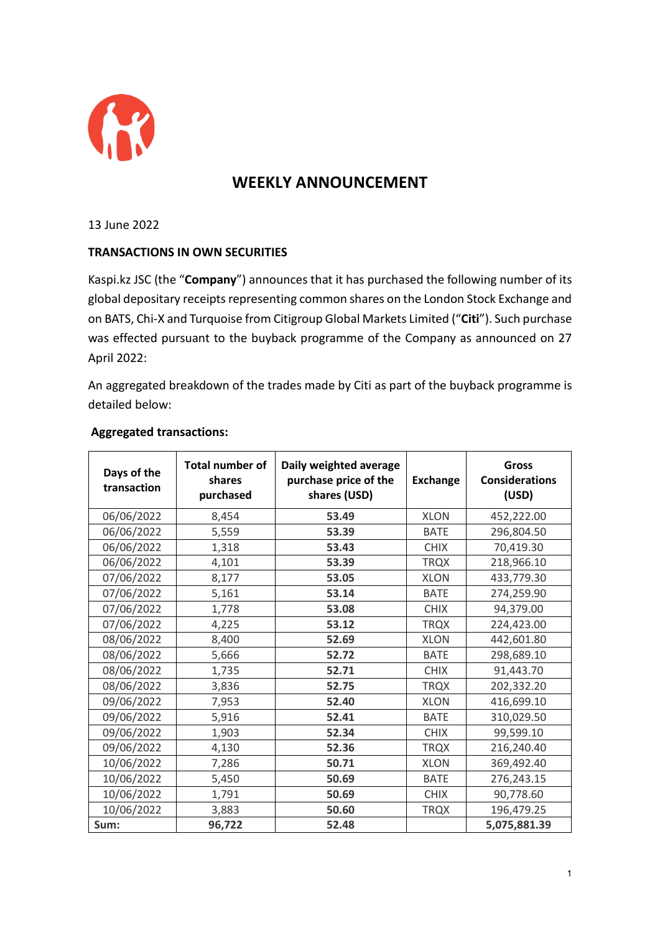

## **WEEKLY ANNOUNCEMENT**

13 June 2022

## **TRANSACTIONS IN OWN SECURITIES**

Kaspi.kz JSC (the "**Company**") announces that it has purchased the following number of its global depositary receipts representing common shares on the London Stock Exchange and on BATS, Chi-X and Turquoise from Citigroup Global Markets Limited ("**Citi**"). Such purchase was effected pursuant to the buyback programme of the Company as announced on 27 April 2022:

An aggregated breakdown of the trades made by Citi as part of the buyback programme is detailed below:

## **Aggregated transactions:**

| Days of the<br>transaction | <b>Total number of</b><br>shares<br>purchased | Daily weighted average<br>purchase price of the<br>shares (USD) | <b>Exchange</b> | Gross<br><b>Considerations</b><br>(USD) |
|----------------------------|-----------------------------------------------|-----------------------------------------------------------------|-----------------|-----------------------------------------|
| 06/06/2022                 | 8,454                                         | 53.49                                                           | <b>XLON</b>     | 452,222.00                              |
| 06/06/2022                 | 5,559                                         | 53.39                                                           | <b>BATE</b>     | 296,804.50                              |
| 06/06/2022                 | 1,318                                         | 53.43                                                           | <b>CHIX</b>     | 70,419.30                               |
| 06/06/2022                 | 4,101                                         | 53.39                                                           | <b>TRQX</b>     | 218,966.10                              |
| 07/06/2022                 | 8,177                                         | 53.05                                                           | <b>XLON</b>     | 433,779.30                              |
| 07/06/2022                 | 5,161                                         | 53.14                                                           | <b>BATE</b>     | 274,259.90                              |
| 07/06/2022                 | 1,778                                         | 53.08                                                           | <b>CHIX</b>     | 94,379.00                               |
| 07/06/2022                 | 4,225                                         | 53.12                                                           | <b>TRQX</b>     | 224,423.00                              |
| 08/06/2022                 | 8,400                                         | 52.69                                                           | <b>XLON</b>     | 442,601.80                              |
| 08/06/2022                 | 5,666                                         | 52.72                                                           | <b>BATE</b>     | 298,689.10                              |
| 08/06/2022                 | 1,735                                         | 52.71                                                           | <b>CHIX</b>     | 91,443.70                               |
| 08/06/2022                 | 3,836                                         | 52.75                                                           | <b>TRQX</b>     | 202,332.20                              |
| 09/06/2022                 | 7,953                                         | 52.40                                                           | <b>XLON</b>     | 416,699.10                              |
| 09/06/2022                 | 5,916                                         | 52.41                                                           | <b>BATE</b>     | 310,029.50                              |
| 09/06/2022                 | 1,903                                         | 52.34                                                           | <b>CHIX</b>     | 99,599.10                               |
| 09/06/2022                 | 4,130                                         | 52.36                                                           | <b>TRQX</b>     | 216,240.40                              |
| 10/06/2022                 | 7,286                                         | 50.71                                                           | <b>XLON</b>     | 369,492.40                              |
| 10/06/2022                 | 5,450                                         | 50.69                                                           | <b>BATE</b>     | 276,243.15                              |
| 10/06/2022                 | 1,791                                         | 50.69                                                           | <b>CHIX</b>     | 90,778.60                               |
| 10/06/2022                 | 3,883                                         | 50.60                                                           | <b>TRQX</b>     | 196,479.25                              |
| Sum:                       | 96,722                                        | 52.48                                                           |                 | 5,075,881.39                            |